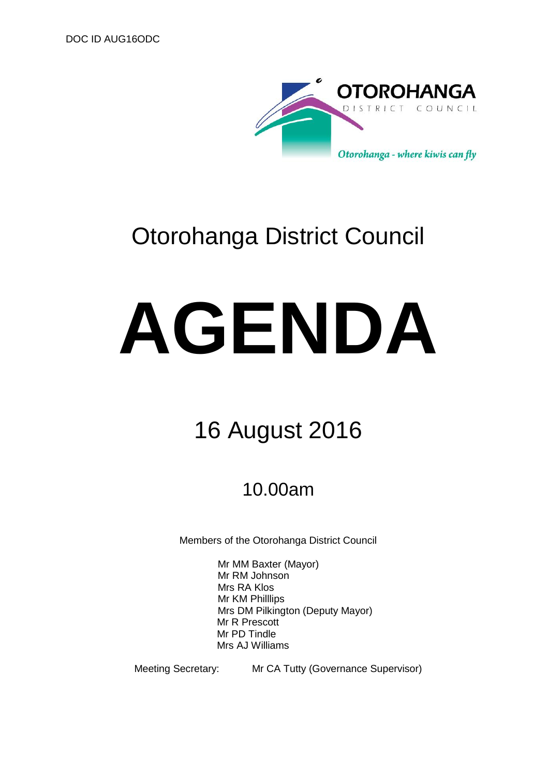

# Otorohanga District Council

# **AGENDA**

# 16 August 2016

# 10.00am

Members of the Otorohanga District Council

Mr MM Baxter (Mayor) Mr RM Johnson Mrs RA Klos Mr KM Philllips Mrs DM Pilkington (Deputy Mayor) Mr R Prescott Mr PD Tindle Mrs AJ Williams

Meeting Secretary: Mr CA Tutty (Governance Supervisor)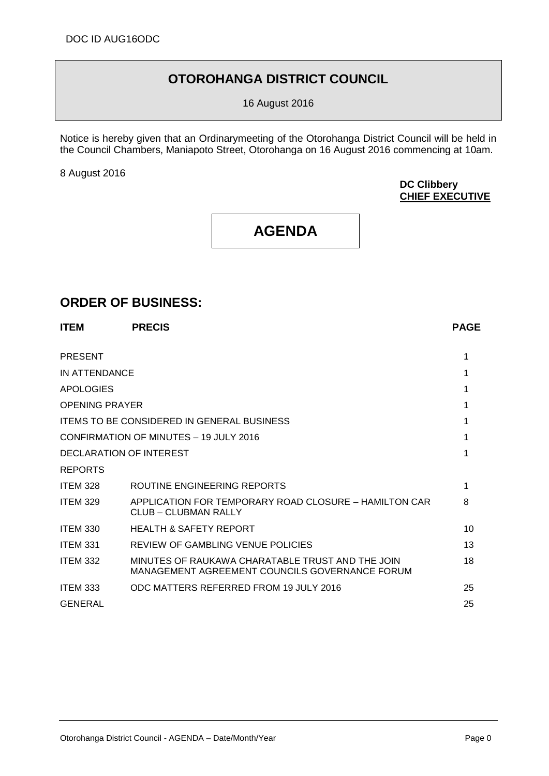## **OTOROHANGA DISTRICT COUNCIL**

16 August 2016

Notice is hereby given that an Ordinarymeeting of the Otorohanga District Council will be held in the Council Chambers, Maniapoto Street, Otorohanga on 16 August 2016 commencing at 10am.

8 August 2016

#### **DC Clibbery CHIEF EXECUTIVE**

## **AGENDA**

## **ORDER OF BUSINESS:**

| <b>ITEM</b>           | <b>PRECIS</b>                                                                                      | <b>PAGE</b> |
|-----------------------|----------------------------------------------------------------------------------------------------|-------------|
| <b>PRESENT</b>        |                                                                                                    | 1           |
| IN ATTENDANCE         |                                                                                                    |             |
| <b>APOLOGIES</b>      |                                                                                                    |             |
| <b>OPENING PRAYER</b> |                                                                                                    |             |
|                       | <b>ITEMS TO BE CONSIDERED IN GENERAL BUSINESS</b>                                                  | 1           |
|                       | CONFIRMATION OF MINUTES - 19 JULY 2016                                                             | 1           |
|                       | DECLARATION OF INTEREST                                                                            | 1           |
| <b>REPORTS</b>        |                                                                                                    |             |
| <b>ITEM 328</b>       | ROUTINE ENGINEERING REPORTS                                                                        | 1           |
| <b>ITEM 329</b>       | APPLICATION FOR TEMPORARY ROAD CLOSURE - HAMILTON CAR<br>CLUB - CLUBMAN RALLY                      | 8           |
| <b>ITEM 330</b>       | <b>HEALTH &amp; SAFETY REPORT</b>                                                                  | 10          |
| <b>ITEM 331</b>       | REVIEW OF GAMBLING VENUE POLICIES                                                                  | 13          |
| <b>ITEM 332</b>       | MINUTES OF RAUKAWA CHARATABLE TRUST AND THE JOIN<br>MANAGEMENT AGREEMENT COUNCILS GOVERNANCE FORUM | 18          |
| <b>ITEM 333</b>       | ODC MATTERS REFERRED FROM 19 JULY 2016                                                             | 25          |
| <b>GENERAL</b>        |                                                                                                    | 25          |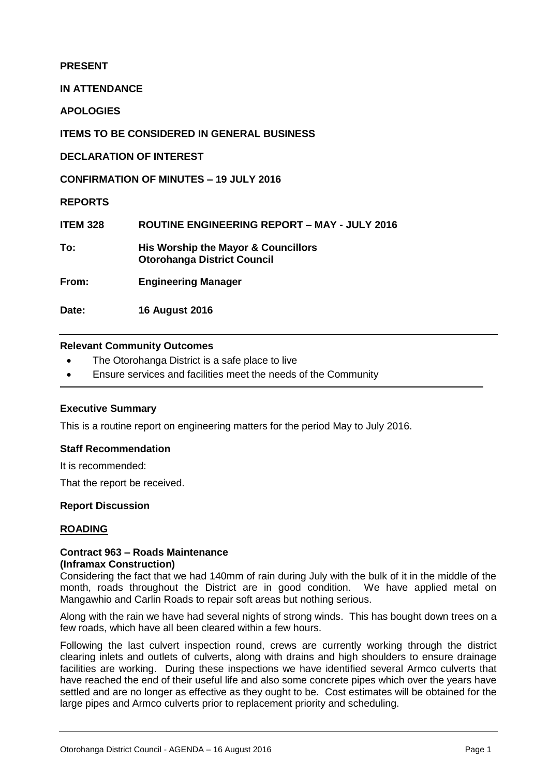#### **PRESENT**

**IN ATTENDANCE**

**APOLOGIES**

**ITEMS TO BE CONSIDERED IN GENERAL BUSINESS**

**DECLARATION OF INTEREST**

**CONFIRMATION OF MINUTES – 19 JULY 2016**

**REPORTS**

| <b>ITEM 328</b> | <b>ROUTINE ENGINEERING REPORT - MAY - JULY 2016</b>                       |
|-----------------|---------------------------------------------------------------------------|
| To:             | His Worship the Mayor & Councillors<br><b>Otorohanga District Council</b> |

**From: Engineering Manager**

**Date: 16 August 2016**

#### **Relevant Community Outcomes**

- The Otorohanga District is a safe place to live
- Ensure services and facilities meet the needs of the Community

#### **Executive Summary**

This is a routine report on engineering matters for the period May to July 2016.

#### **Staff Recommendation**

It is recommended:

That the report be received.

#### **Report Discussion**

#### **ROADING**

#### **Contract 963 – Roads Maintenance (Inframax Construction)**

Considering the fact that we had 140mm of rain during July with the bulk of it in the middle of the month, roads throughout the District are in good condition. We have applied metal on Mangawhio and Carlin Roads to repair soft areas but nothing serious.

Along with the rain we have had several nights of strong winds. This has bought down trees on a few roads, which have all been cleared within a few hours.

Following the last culvert inspection round, crews are currently working through the district clearing inlets and outlets of culverts, along with drains and high shoulders to ensure drainage facilities are working. During these inspections we have identified several Armco culverts that have reached the end of their useful life and also some concrete pipes which over the years have settled and are no longer as effective as they ought to be. Cost estimates will be obtained for the large pipes and Armco culverts prior to replacement priority and scheduling.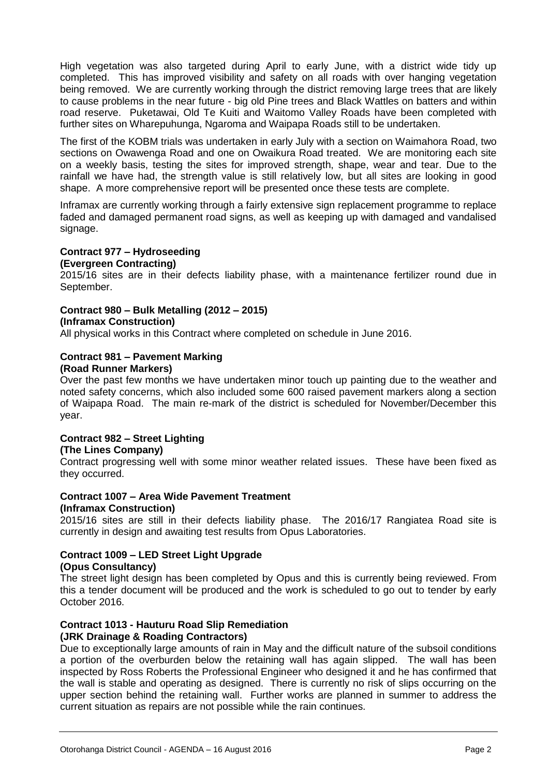High vegetation was also targeted during April to early June, with a district wide tidy up completed. This has improved visibility and safety on all roads with over hanging vegetation being removed. We are currently working through the district removing large trees that are likely to cause problems in the near future - big old Pine trees and Black Wattles on batters and within road reserve. Puketawai, Old Te Kuiti and Waitomo Valley Roads have been completed with further sites on Wharepuhunga, Ngaroma and Waipapa Roads still to be undertaken.

The first of the KOBM trials was undertaken in early July with a section on Waimahora Road, two sections on Owawenga Road and one on Owaikura Road treated. We are monitoring each site on a weekly basis, testing the sites for improved strength, shape, wear and tear. Due to the rainfall we have had, the strength value is still relatively low, but all sites are looking in good shape. A more comprehensive report will be presented once these tests are complete.

Inframax are currently working through a fairly extensive sign replacement programme to replace faded and damaged permanent road signs, as well as keeping up with damaged and vandalised signage.

#### **Contract 977 – Hydroseeding**

#### **(Evergreen Contracting)**

2015/16 sites are in their defects liability phase, with a maintenance fertilizer round due in September.

#### **Contract 980 – Bulk Metalling (2012 – 2015)**

#### **(Inframax Construction)**

All physical works in this Contract where completed on schedule in June 2016.

#### **Contract 981 – Pavement Marking**

#### **(Road Runner Markers)**

Over the past few months we have undertaken minor touch up painting due to the weather and noted safety concerns, which also included some 600 raised pavement markers along a section of Waipapa Road. The main re-mark of the district is scheduled for November/December this year.

#### **Contract 982 – Street Lighting (The Lines Company)**

Contract progressing well with some minor weather related issues. These have been fixed as they occurred.

#### **Contract 1007 – Area Wide Pavement Treatment (Inframax Construction)**

2015/16 sites are still in their defects liability phase. The 2016/17 Rangiatea Road site is currently in design and awaiting test results from Opus Laboratories.

### **Contract 1009 – LED Street Light Upgrade**

#### **(Opus Consultancy)**

The street light design has been completed by Opus and this is currently being reviewed. From this a tender document will be produced and the work is scheduled to go out to tender by early October 2016.

#### **Contract 1013 - Hauturu Road Slip Remediation**

#### **(JRK Drainage & Roading Contractors)**

Due to exceptionally large amounts of rain in May and the difficult nature of the subsoil conditions a portion of the overburden below the retaining wall has again slipped. The wall has been inspected by Ross Roberts the Professional Engineer who designed it and he has confirmed that the wall is stable and operating as designed. There is currently no risk of slips occurring on the upper section behind the retaining wall. Further works are planned in summer to address the current situation as repairs are not possible while the rain continues.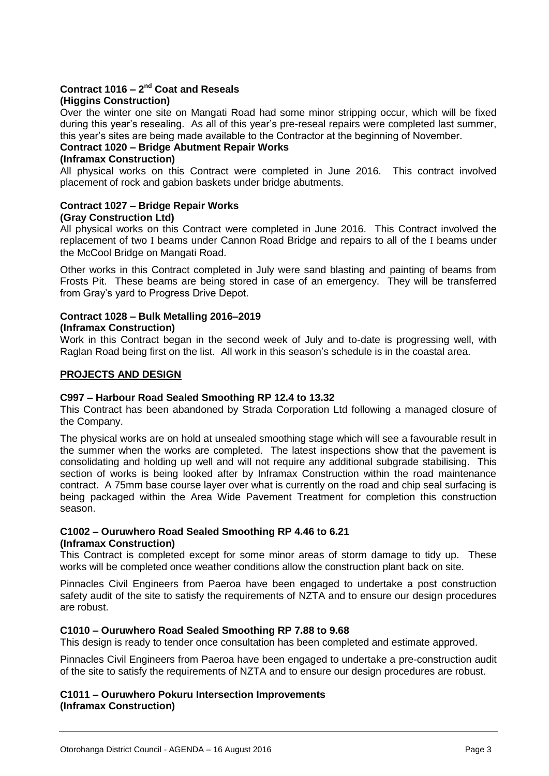## **Contract 1016 – 2<sup>nd</sup> Coat and Reseals**

#### **(Higgins Construction)**

Over the winter one site on Mangati Road had some minor stripping occur, which will be fixed during this year's resealing. As all of this year's pre-reseal repairs were completed last summer, this year's sites are being made available to the Contractor at the beginning of November.

#### **Contract 1020 – Bridge Abutment Repair Works**

#### **(Inframax Construction)**

All physical works on this Contract were completed in June 2016. This contract involved placement of rock and gabion baskets under bridge abutments.

#### **Contract 1027 – Bridge Repair Works (Gray Construction Ltd)**

All physical works on this Contract were completed in June 2016. This Contract involved the replacement of two I beams under Cannon Road Bridge and repairs to all of the I beams under the McCool Bridge on Mangati Road.

Other works in this Contract completed in July were sand blasting and painting of beams from Frosts Pit. These beams are being stored in case of an emergency. They will be transferred from Gray's yard to Progress Drive Depot.

#### **Contract 1028 – Bulk Metalling 2016–2019 (Inframax Construction)**

Work in this Contract began in the second week of July and to-date is progressing well, with Raglan Road being first on the list. All work in this season's schedule is in the coastal area.

#### **PROJECTS AND DESIGN**

#### **C997 – Harbour Road Sealed Smoothing RP 12.4 to 13.32**

This Contract has been abandoned by Strada Corporation Ltd following a managed closure of the Company.

The physical works are on hold at unsealed smoothing stage which will see a favourable result in the summer when the works are completed. The latest inspections show that the pavement is consolidating and holding up well and will not require any additional subgrade stabilising. This section of works is being looked after by Inframax Construction within the road maintenance contract. A 75mm base course layer over what is currently on the road and chip seal surfacing is being packaged within the Area Wide Pavement Treatment for completion this construction season.

#### **C1002 – Ouruwhero Road Sealed Smoothing RP 4.46 to 6.21 (Inframax Construction)**

This Contract is completed except for some minor areas of storm damage to tidy up. These works will be completed once weather conditions allow the construction plant back on site.

Pinnacles Civil Engineers from Paeroa have been engaged to undertake a post construction safety audit of the site to satisfy the requirements of NZTA and to ensure our design procedures are robust.

#### **C1010 – Ouruwhero Road Sealed Smoothing RP 7.88 to 9.68**

This design is ready to tender once consultation has been completed and estimate approved.

Pinnacles Civil Engineers from Paeroa have been engaged to undertake a pre-construction audit of the site to satisfy the requirements of NZTA and to ensure our design procedures are robust.

#### **C1011 – Ouruwhero Pokuru Intersection Improvements (Inframax Construction)**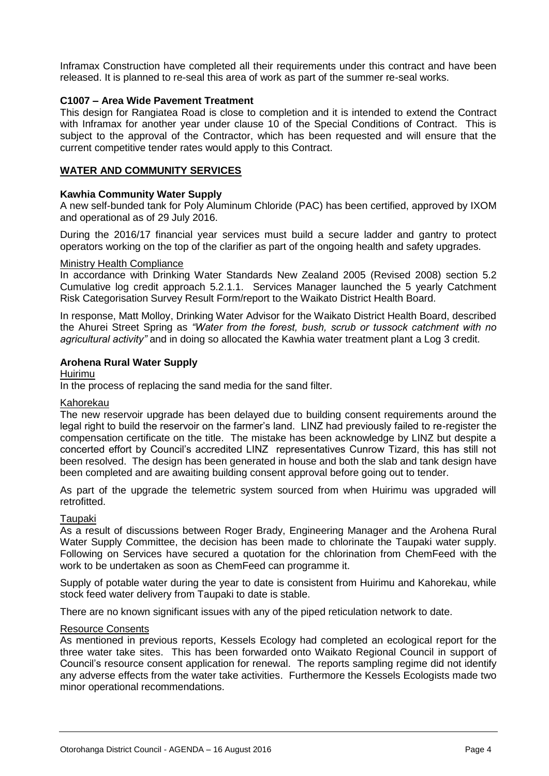Inframax Construction have completed all their requirements under this contract and have been released. It is planned to re-seal this area of work as part of the summer re-seal works.

#### **C1007 – Area Wide Pavement Treatment**

This design for Rangiatea Road is close to completion and it is intended to extend the Contract with Inframax for another year under clause 10 of the Special Conditions of Contract. This is subject to the approval of the Contractor, which has been requested and will ensure that the current competitive tender rates would apply to this Contract.

#### **WATER AND COMMUNITY SERVICES**

#### **Kawhia Community Water Supply**

A new self-bunded tank for Poly Aluminum Chloride (PAC) has been certified, approved by IXOM and operational as of 29 July 2016.

During the 2016/17 financial year services must build a secure ladder and gantry to protect operators working on the top of the clarifier as part of the ongoing health and safety upgrades.

#### Ministry Health Compliance

In accordance with Drinking Water Standards New Zealand 2005 (Revised 2008) section 5.2 Cumulative log credit approach 5.2.1.1. Services Manager launched the 5 yearly Catchment Risk Categorisation Survey Result Form/report to the Waikato District Health Board.

In response, Matt Molloy, Drinking Water Advisor for the Waikato District Health Board, described the Ahurei Street Spring as *"Water from the forest, bush, scrub or tussock catchment with no agricultural activity"* and in doing so allocated the Kawhia water treatment plant a Log 3 credit.

#### **Arohena Rural Water Supply**

Huirimu

In the process of replacing the sand media for the sand filter.

#### Kahorekau

The new reservoir upgrade has been delayed due to building consent requirements around the legal right to build the reservoir on the farmer's land. LINZ had previously failed to re-register the compensation certificate on the title. The mistake has been acknowledge by LINZ but despite a concerted effort by Council's accredited LINZ representatives Cunrow Tizard, this has still not been resolved. The design has been generated in house and both the slab and tank design have been completed and are awaiting building consent approval before going out to tender.

As part of the upgrade the telemetric system sourced from when Huirimu was upgraded will retrofitted.

#### Taupaki

As a result of discussions between Roger Brady, Engineering Manager and the Arohena Rural Water Supply Committee, the decision has been made to chlorinate the Taupaki water supply. Following on Services have secured a quotation for the chlorination from ChemFeed with the work to be undertaken as soon as ChemFeed can programme it.

Supply of potable water during the year to date is consistent from Huirimu and Kahorekau, while stock feed water delivery from Taupaki to date is stable.

There are no known significant issues with any of the piped reticulation network to date.

#### Resource Consents

As mentioned in previous reports, Kessels Ecology had completed an ecological report for the three water take sites. This has been forwarded onto Waikato Regional Council in support of Council's resource consent application for renewal. The reports sampling regime did not identify any adverse effects from the water take activities. Furthermore the Kessels Ecologists made two minor operational recommendations.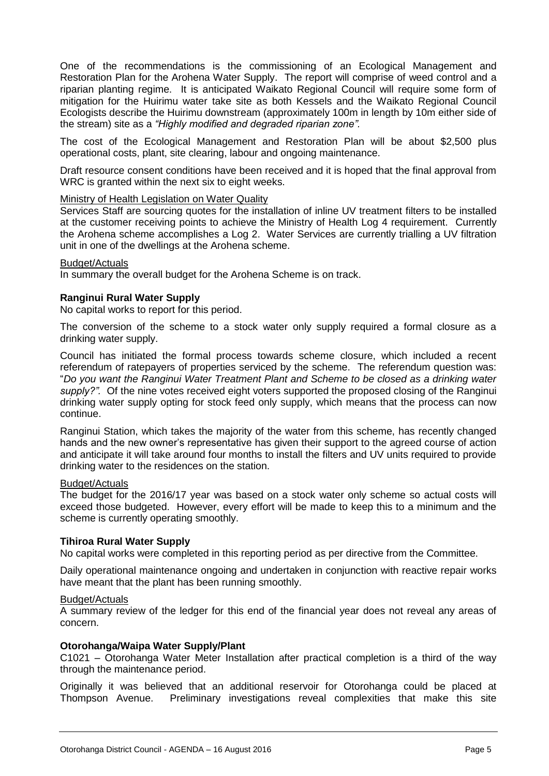One of the recommendations is the commissioning of an Ecological Management and Restoration Plan for the Arohena Water Supply. The report will comprise of weed control and a riparian planting regime. It is anticipated Waikato Regional Council will require some form of mitigation for the Huirimu water take site as both Kessels and the Waikato Regional Council Ecologists describe the Huirimu downstream (approximately 100m in length by 10m either side of the stream) site as a *"Highly modified and degraded riparian zone".*

The cost of the Ecological Management and Restoration Plan will be about \$2,500 plus operational costs, plant, site clearing, labour and ongoing maintenance.

Draft resource consent conditions have been received and it is hoped that the final approval from WRC is granted within the next six to eight weeks.

#### Ministry of Health Legislation on Water Quality

Services Staff are sourcing quotes for the installation of inline UV treatment filters to be installed at the customer receiving points to achieve the Ministry of Health Log 4 requirement. Currently the Arohena scheme accomplishes a Log 2. Water Services are currently trialling a UV filtration unit in one of the dwellings at the Arohena scheme.

#### Budget/Actuals

In summary the overall budget for the Arohena Scheme is on track.

#### **Ranginui Rural Water Supply**

No capital works to report for this period.

The conversion of the scheme to a stock water only supply required a formal closure as a drinking water supply.

Council has initiated the formal process towards scheme closure, which included a recent referendum of ratepayers of properties serviced by the scheme. The referendum question was: "*Do you want the Ranginui Water Treatment Plant and Scheme to be closed as a drinking water supply?".* Of the nine votes received eight voters supported the proposed closing of the Ranginui drinking water supply opting for stock feed only supply, which means that the process can now continue.

Ranginui Station, which takes the majority of the water from this scheme, has recently changed hands and the new owner's representative has given their support to the agreed course of action and anticipate it will take around four months to install the filters and UV units required to provide drinking water to the residences on the station.

#### Budget/Actuals

The budget for the 2016/17 year was based on a stock water only scheme so actual costs will exceed those budgeted. However, every effort will be made to keep this to a minimum and the scheme is currently operating smoothly.

#### **Tihiroa Rural Water Supply**

No capital works were completed in this reporting period as per directive from the Committee.

Daily operational maintenance ongoing and undertaken in conjunction with reactive repair works have meant that the plant has been running smoothly.

#### Budget/Actuals

A summary review of the ledger for this end of the financial year does not reveal any areas of concern.

#### **Otorohanga/Waipa Water Supply/Plant**

C1021 – Otorohanga Water Meter Installation after practical completion is a third of the way through the maintenance period.

Originally it was believed that an additional reservoir for Otorohanga could be placed at Thompson Avenue. Preliminary investigations reveal complexities that make this site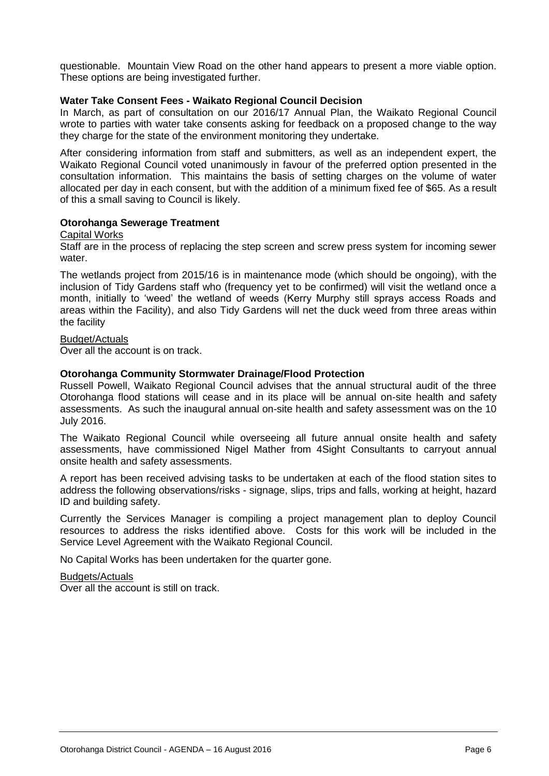questionable. Mountain View Road on the other hand appears to present a more viable option. These options are being investigated further.

#### **Water Take Consent Fees - Waikato Regional Council Decision**

In March, as part of consultation on our 2016/17 Annual Plan, the Waikato Regional Council wrote to parties with water take consents asking for feedback on a proposed change to the way they charge for the state of the environment monitoring they undertake.

After considering information from staff and submitters, as well as an independent expert, the Waikato Regional Council voted unanimously in favour of the preferred option presented in the consultation information. This maintains the basis of setting charges on the volume of water allocated per day in each consent, but with the addition of a minimum fixed fee of \$65. As a result of this a small saving to Council is likely.

#### **Otorohanga Sewerage Treatment**

#### Capital Works

Staff are in the process of replacing the step screen and screw press system for incoming sewer water.

The wetlands project from 2015/16 is in maintenance mode (which should be ongoing), with the inclusion of Tidy Gardens staff who (frequency yet to be confirmed) will visit the wetland once a month, initially to 'weed' the wetland of weeds (Kerry Murphy still sprays access Roads and areas within the Facility), and also Tidy Gardens will net the duck weed from three areas within the facility

#### Budget/Actuals

Over all the account is on track.

#### **Otorohanga Community Stormwater Drainage/Flood Protection**

Russell Powell, Waikato Regional Council advises that the annual structural audit of the three Otorohanga flood stations will cease and in its place will be annual on-site health and safety assessments. As such the inaugural annual on-site health and safety assessment was on the 10 July 2016.

The Waikato Regional Council while overseeing all future annual onsite health and safety assessments, have commissioned Nigel Mather from 4Sight Consultants to carryout annual onsite health and safety assessments.

A report has been received advising tasks to be undertaken at each of the flood station sites to address the following observations/risks - signage, slips, trips and falls, working at height, hazard ID and building safety.

Currently the Services Manager is compiling a project management plan to deploy Council resources to address the risks identified above. Costs for this work will be included in the Service Level Agreement with the Waikato Regional Council.

No Capital Works has been undertaken for the quarter gone.

#### Budgets/Actuals

Over all the account is still on track.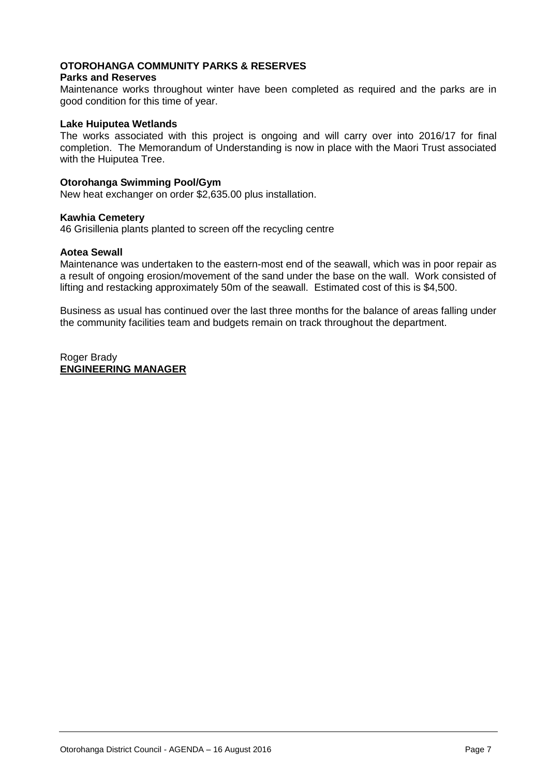#### **OTOROHANGA COMMUNITY PARKS & RESERVES**

#### **Parks and Reserves**

Maintenance works throughout winter have been completed as required and the parks are in good condition for this time of year.

#### **Lake Huiputea Wetlands**

The works associated with this project is ongoing and will carry over into 2016/17 for final completion. The Memorandum of Understanding is now in place with the Maori Trust associated with the Huiputea Tree.

#### **Otorohanga Swimming Pool/Gym**

New heat exchanger on order \$2,635.00 plus installation.

#### **Kawhia Cemetery**

46 Grisillenia plants planted to screen off the recycling centre

#### **Aotea Sewall**

Maintenance was undertaken to the eastern-most end of the seawall, which was in poor repair as a result of ongoing erosion/movement of the sand under the base on the wall. Work consisted of lifting and restacking approximately 50m of the seawall. Estimated cost of this is \$4,500.

Business as usual has continued over the last three months for the balance of areas falling under the community facilities team and budgets remain on track throughout the department.

Roger Brady **ENGINEERING MANAGER**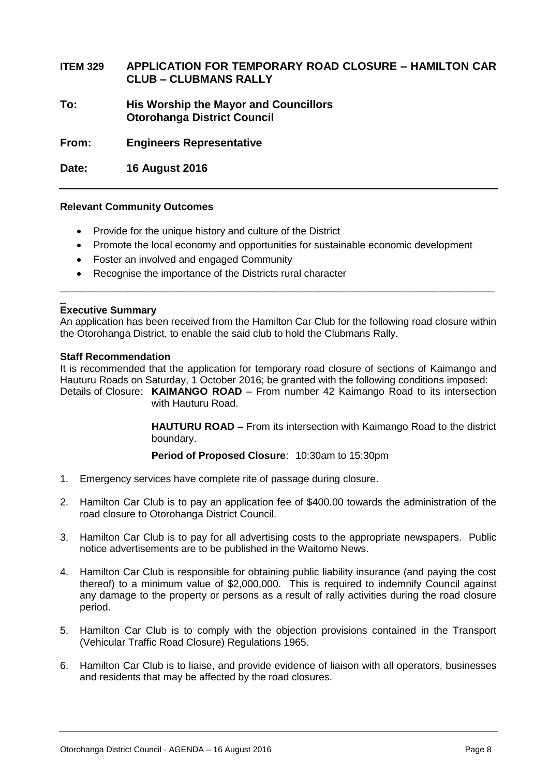#### **ITEM 329 APPLICATION FOR TEMPORARY ROAD CLOSURE – HAMILTON CAR CLUB – CLUBMANS RALLY**

**To: His Worship the Mayor and Councillors Otorohanga District Council**

**From: Engineers Representative**

**Date: 16 August 2016**

#### **Relevant Community Outcomes**

- Provide for the unique history and culture of the District
- Promote the local economy and opportunities for sustainable economic development

\_\_\_\_\_\_\_\_\_\_\_\_\_\_\_\_\_\_\_\_\_\_\_\_\_\_\_\_\_\_\_\_\_\_\_\_\_\_\_\_\_\_\_\_\_\_\_\_\_\_\_\_\_\_\_\_\_\_\_\_\_\_\_\_\_\_\_\_\_\_\_\_\_\_\_\_\_

- Foster an involved and engaged Community
- Recognise the importance of the Districts rural character

#### \_ **Executive Summary**

An application has been received from the Hamilton Car Club for the following road closure within the Otorohanga District, to enable the said club to hold the Clubmans Rally.

#### **Staff Recommendation**

It is recommended that the application for temporary road closure of sections of Kaimango and Hauturu Roads on Saturday, 1 October 2016; be granted with the following conditions imposed:

Details of Closure: **KAIMANGO ROAD** – From number 42 Kaimango Road to its intersection with Hauturu Road.

> **HAUTURU ROAD –** From its intersection with Kaimango Road to the district boundary.

**Period of Proposed Closure**: 10:30am to 15:30pm

- 1. Emergency services have complete rite of passage during closure.
- 2. Hamilton Car Club is to pay an application fee of \$400.00 towards the administration of the road closure to Otorohanga District Council.
- 3. Hamilton Car Club is to pay for all advertising costs to the appropriate newspapers. Public notice advertisements are to be published in the Waitomo News.
- 4. Hamilton Car Club is responsible for obtaining public liability insurance (and paying the cost thereof) to a minimum value of \$2,000,000. This is required to indemnify Council against any damage to the property or persons as a result of rally activities during the road closure period.
- 5. Hamilton Car Club is to comply with the objection provisions contained in the Transport (Vehicular Traffic Road Closure) Regulations 1965.
- 6. Hamilton Car Club is to liaise, and provide evidence of liaison with all operators, businesses and residents that may be affected by the road closures.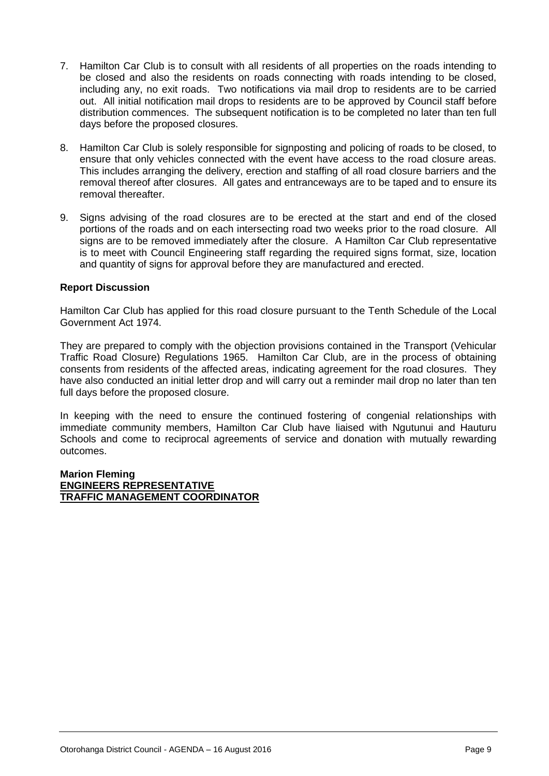- 7. Hamilton Car Club is to consult with all residents of all properties on the roads intending to be closed and also the residents on roads connecting with roads intending to be closed, including any, no exit roads. Two notifications via mail drop to residents are to be carried out. All initial notification mail drops to residents are to be approved by Council staff before distribution commences. The subsequent notification is to be completed no later than ten full days before the proposed closures.
- 8. Hamilton Car Club is solely responsible for signposting and policing of roads to be closed, to ensure that only vehicles connected with the event have access to the road closure areas. This includes arranging the delivery, erection and staffing of all road closure barriers and the removal thereof after closures. All gates and entranceways are to be taped and to ensure its removal thereafter.
- 9. Signs advising of the road closures are to be erected at the start and end of the closed portions of the roads and on each intersecting road two weeks prior to the road closure. All signs are to be removed immediately after the closure. A Hamilton Car Club representative is to meet with Council Engineering staff regarding the required signs format, size, location and quantity of signs for approval before they are manufactured and erected.

#### **Report Discussion**

Hamilton Car Club has applied for this road closure pursuant to the Tenth Schedule of the Local Government Act 1974.

They are prepared to comply with the objection provisions contained in the Transport (Vehicular Traffic Road Closure) Regulations 1965. Hamilton Car Club, are in the process of obtaining consents from residents of the affected areas, indicating agreement for the road closures. They have also conducted an initial letter drop and will carry out a reminder mail drop no later than ten full days before the proposed closure.

In keeping with the need to ensure the continued fostering of congenial relationships with immediate community members, Hamilton Car Club have liaised with Ngutunui and Hauturu Schools and come to reciprocal agreements of service and donation with mutually rewarding outcomes.

#### **Marion Fleming ENGINEERS REPRESENTATIVE TRAFFIC MANAGEMENT COORDINATOR**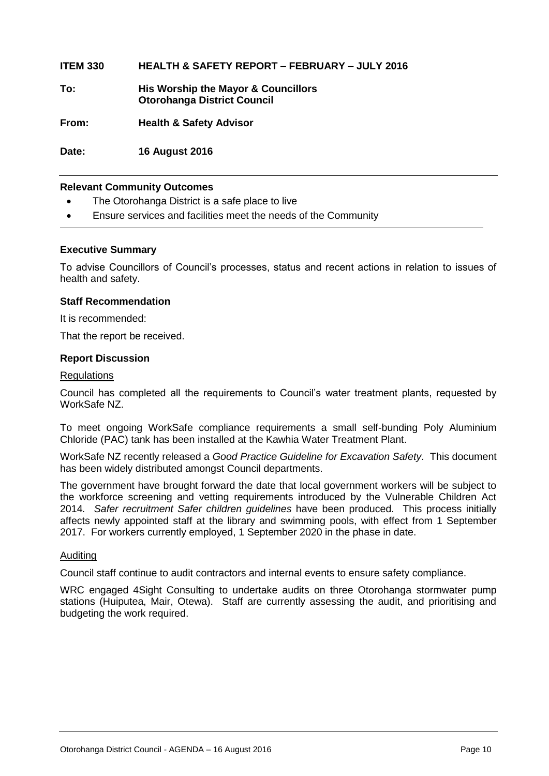**ITEM 330 HEALTH & SAFETY REPORT – FEBRUARY – JULY 2016**

**To: His Worship the Mayor & Councillors Otorohanga District Council**

**From: Health & Safety Advisor**

**Date: 16 August 2016**

#### **Relevant Community Outcomes**

- The Otorohanga District is a safe place to live
- Ensure services and facilities meet the needs of the Community

#### **Executive Summary**

To advise Councillors of Council's processes, status and recent actions in relation to issues of health and safety.

#### **Staff Recommendation**

It is recommended:

That the report be received.

#### **Report Discussion**

#### **Regulations**

Council has completed all the requirements to Council's water treatment plants, requested by WorkSafe NZ.

To meet ongoing WorkSafe compliance requirements a small self-bunding Poly Aluminium Chloride (PAC) tank has been installed at the Kawhia Water Treatment Plant.

WorkSafe NZ recently released a *Good Practice Guideline for Excavation Safety*. This document has been widely distributed amongst Council departments.

The government have brought forward the date that local government workers will be subject to the workforce screening and vetting requirements introduced by the Vulnerable Children Act 2014*. Safer recruitment Safer children guidelines* have been produced. This process initially affects newly appointed staff at the library and swimming pools, with effect from 1 September 2017. For workers currently employed, 1 September 2020 in the phase in date.

#### Auditing

Council staff continue to audit contractors and internal events to ensure safety compliance.

WRC engaged 4Sight Consulting to undertake audits on three Otorohanga stormwater pump stations (Huiputea, Mair, Otewa). Staff are currently assessing the audit, and prioritising and budgeting the work required.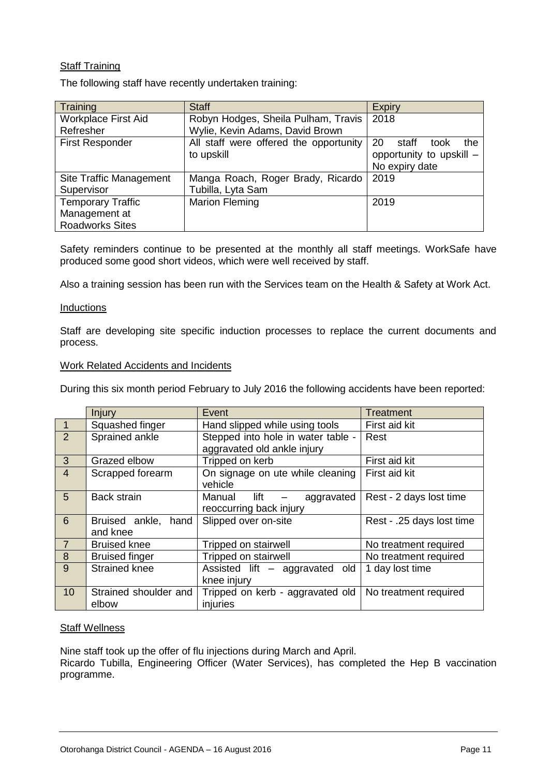#### Staff Training

The following staff have recently undertaken training:

| Training                   | <b>Staff</b>                           | <b>Expiry</b>              |
|----------------------------|----------------------------------------|----------------------------|
| <b>Workplace First Aid</b> | Robyn Hodges, Sheila Pulham, Travis    | 2018                       |
| Refresher                  | Wylie, Kevin Adams, David Brown        |                            |
| <b>First Responder</b>     | All staff were offered the opportunity | 20<br>staff<br>the<br>took |
|                            | to upskill                             | opportunity to upskill -   |
|                            |                                        | No expiry date             |
| Site Traffic Management    | Manga Roach, Roger Brady, Ricardo      | 2019                       |
| Supervisor                 | Tubilla, Lyta Sam                      |                            |
| <b>Temporary Traffic</b>   | <b>Marion Fleming</b>                  | 2019                       |
| Management at              |                                        |                            |
| <b>Roadworks Sites</b>     |                                        |                            |

Safety reminders continue to be presented at the monthly all staff meetings. WorkSafe have produced some good short videos, which were well received by staff.

Also a training session has been run with the Services team on the Health & Safety at Work Act.

#### **Inductions**

Staff are developing site specific induction processes to replace the current documents and process.

#### Work Related Accidents and Incidents

During this six month period February to July 2016 the following accidents have been reported:

|                          | Injury                          | Event                                                             | <b>Treatment</b>          |
|--------------------------|---------------------------------|-------------------------------------------------------------------|---------------------------|
| $\vert$ 1                | Squashed finger                 | Hand slipped while using tools                                    | First aid kit             |
| $\overline{2}$           | Sprained ankle                  | Stepped into hole in water table -<br>aggravated old ankle injury | Rest                      |
|                          |                                 |                                                                   |                           |
| $\mathbf{3}$             | Grazed elbow                    | Tripped on kerb                                                   | First aid kit             |
| $\overline{4}$           | Scrapped forearm                | On signage on ute while cleaning<br>vehicle                       | First aid kit             |
| 5                        | <b>Back strain</b>              | Manual lift<br>aggravated<br>reoccurring back injury              | Rest - 2 days lost time   |
| 6                        | Bruised ankle, hand<br>and knee | Slipped over on-site                                              | Rest - .25 days lost time |
| $\overline{\mathcal{L}}$ | <b>Bruised knee</b>             | Tripped on stairwell                                              | No treatment required     |
| 8                        | <b>Bruised finger</b>           | Tripped on stairwell                                              | No treatment required     |
| 9                        | <b>Strained knee</b>            | Assisted lift - aggravated old                                    | 1 day lost time           |
|                          |                                 | knee injury                                                       |                           |
| 10                       | Strained shoulder and<br>elbow  | Tripped on kerb - aggravated old<br>injuries                      | No treatment required     |

#### **Staff Wellness**

Nine staff took up the offer of flu injections during March and April. Ricardo Tubilla, Engineering Officer (Water Services), has completed the Hep B vaccination programme.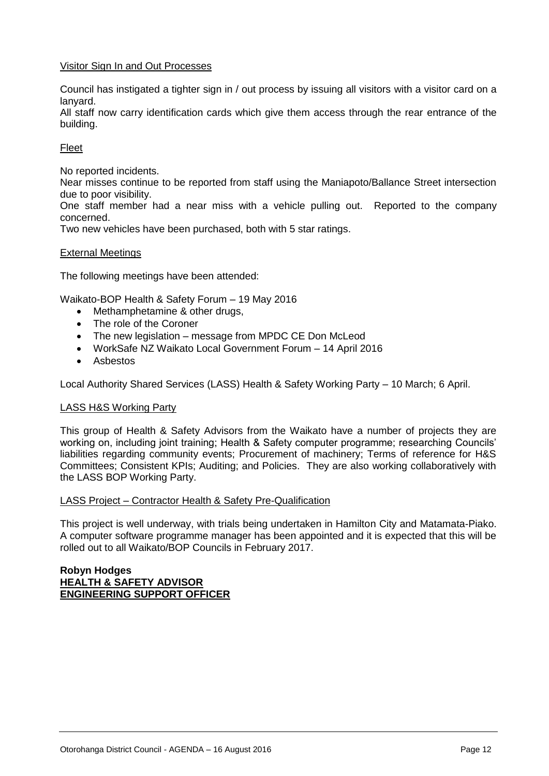#### Visitor Sign In and Out Processes

Council has instigated a tighter sign in / out process by issuing all visitors with a visitor card on a lanyard.

All staff now carry identification cards which give them access through the rear entrance of the building.

#### Fleet

No reported incidents.

Near misses continue to be reported from staff using the Maniapoto/Ballance Street intersection due to poor visibility.

One staff member had a near miss with a vehicle pulling out. Reported to the company concerned.

Two new vehicles have been purchased, both with 5 star ratings.

#### External Meetings

The following meetings have been attended:

Waikato-BOP Health & Safety Forum – 19 May 2016

- Methamphetamine & other drugs,
- The role of the Coroner
- The new legislation message from MPDC CE Don McLeod
- WorkSafe NZ Waikato Local Government Forum 14 April 2016
- Asbestos

Local Authority Shared Services (LASS) Health & Safety Working Party – 10 March; 6 April.

#### LASS H&S Working Party

This group of Health & Safety Advisors from the Waikato have a number of projects they are working on, including joint training; Health & Safety computer programme; researching Councils' liabilities regarding community events; Procurement of machinery; Terms of reference for H&S Committees; Consistent KPIs; Auditing; and Policies. They are also working collaboratively with the LASS BOP Working Party.

#### LASS Project – Contractor Health & Safety Pre-Qualification

This project is well underway, with trials being undertaken in Hamilton City and Matamata-Piako. A computer software programme manager has been appointed and it is expected that this will be rolled out to all Waikato/BOP Councils in February 2017.

#### **Robyn Hodges HEALTH & SAFETY ADVISOR ENGINEERING SUPPORT OFFICER**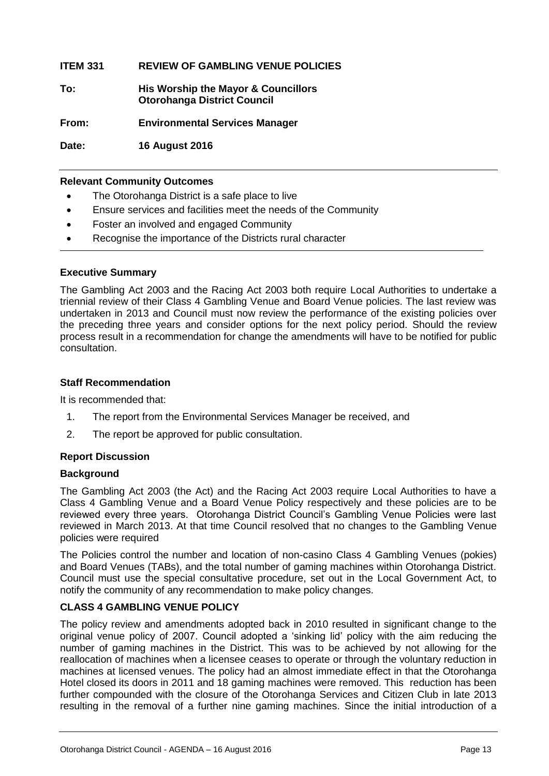#### **ITEM 331 REVIEW OF GAMBLING VENUE POLICIES**

| To: | His Worship the Mayor & Councillors |
|-----|-------------------------------------|
|     | <b>Otorohanga District Council</b>  |

**From: Environmental Services Manager**

**Date: 16 August 2016**

#### **Relevant Community Outcomes**

- The Otorohanga District is a safe place to live
- Ensure services and facilities meet the needs of the Community
- Foster an involved and engaged Community
- Recognise the importance of the Districts rural character

#### **Executive Summary**

The Gambling Act 2003 and the Racing Act 2003 both require Local Authorities to undertake a triennial review of their Class 4 Gambling Venue and Board Venue policies. The last review was undertaken in 2013 and Council must now review the performance of the existing policies over the preceding three years and consider options for the next policy period. Should the review process result in a recommendation for change the amendments will have to be notified for public consultation.

#### **Staff Recommendation**

It is recommended that:

- 1. The report from the Environmental Services Manager be received, and
- 2. The report be approved for public consultation.

#### **Report Discussion**

#### **Background**

The Gambling Act 2003 (the Act) and the Racing Act 2003 require Local Authorities to have a Class 4 Gambling Venue and a Board Venue Policy respectively and these policies are to be reviewed every three years. Otorohanga District Council's Gambling Venue Policies were last reviewed in March 2013. At that time Council resolved that no changes to the Gambling Venue policies were required

The Policies control the number and location of non-casino Class 4 Gambling Venues (pokies) and Board Venues (TABs), and the total number of gaming machines within Otorohanga District. Council must use the special consultative procedure, set out in the Local Government Act, to notify the community of any recommendation to make policy changes.

#### **CLASS 4 GAMBLING VENUE POLICY**

The policy review and amendments adopted back in 2010 resulted in significant change to the original venue policy of 2007. Council adopted a 'sinking lid' policy with the aim reducing the number of gaming machines in the District. This was to be achieved by not allowing for the reallocation of machines when a licensee ceases to operate or through the voluntary reduction in machines at licensed venues. The policy had an almost immediate effect in that the Otorohanga Hotel closed its doors in 2011 and 18 gaming machines were removed. This reduction has been further compounded with the closure of the Otorohanga Services and Citizen Club in late 2013 resulting in the removal of a further nine gaming machines. Since the initial introduction of a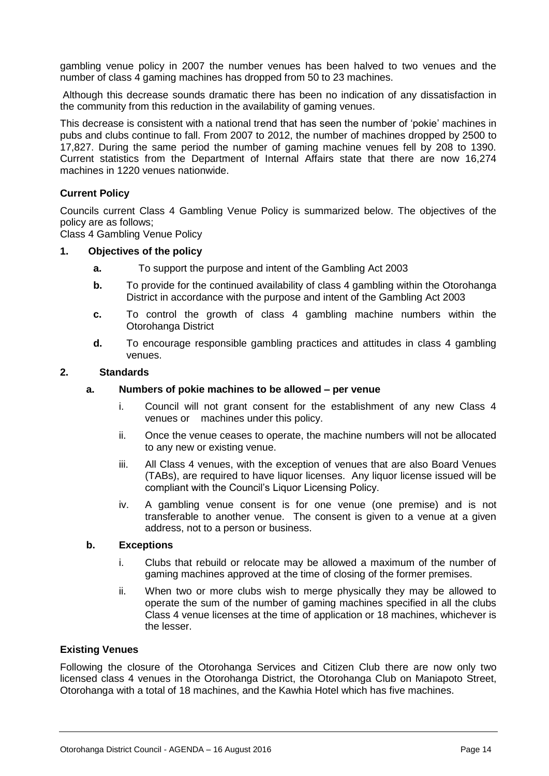gambling venue policy in 2007 the number venues has been halved to two venues and the number of class 4 gaming machines has dropped from 50 to 23 machines.

Although this decrease sounds dramatic there has been no indication of any dissatisfaction in the community from this reduction in the availability of gaming venues.

This decrease is consistent with a national trend that has seen the number of 'pokie' machines in pubs and clubs continue to fall. From 2007 to 2012, the number of machines dropped by 2500 to 17,827. During the same period the number of gaming machine venues fell by 208 to 1390. Current statistics from the Department of Internal Affairs state that there are now 16,274 machines in 1220 venues nationwide.

#### **Current Policy**

Councils current Class 4 Gambling Venue Policy is summarized below. The objectives of the policy are as follows;

Class 4 Gambling Venue Policy

#### **1. Objectives of the policy**

- **a.** To support the purpose and intent of the Gambling Act 2003
- **b.** To provide for the continued availability of class 4 gambling within the Otorohanga District in accordance with the purpose and intent of the Gambling Act 2003
- **c.** To control the growth of class 4 gambling machine numbers within the Otorohanga District
- **d.** To encourage responsible gambling practices and attitudes in class 4 gambling venues.

#### **2. Standards**

#### **a. Numbers of pokie machines to be allowed – per venue**

- i. Council will not grant consent for the establishment of any new Class 4 venues or machines under this policy.
- ii. Once the venue ceases to operate, the machine numbers will not be allocated to any new or existing venue.
- iii. All Class 4 venues, with the exception of venues that are also Board Venues (TABs), are required to have liquor licenses. Any liquor license issued will be compliant with the Council's Liquor Licensing Policy.
- iv. A gambling venue consent is for one venue (one premise) and is not transferable to another venue. The consent is given to a venue at a given address, not to a person or business.

#### **b. Exceptions**

- i. Clubs that rebuild or relocate may be allowed a maximum of the number of gaming machines approved at the time of closing of the former premises.
- ii. When two or more clubs wish to merge physically they may be allowed to operate the sum of the number of gaming machines specified in all the clubs Class 4 venue licenses at the time of application or 18 machines, whichever is the lesser.

#### **Existing Venues**

Following the closure of the Otorohanga Services and Citizen Club there are now only two licensed class 4 venues in the Otorohanga District, the Otorohanga Club on Maniapoto Street, Otorohanga with a total of 18 machines, and the Kawhia Hotel which has five machines.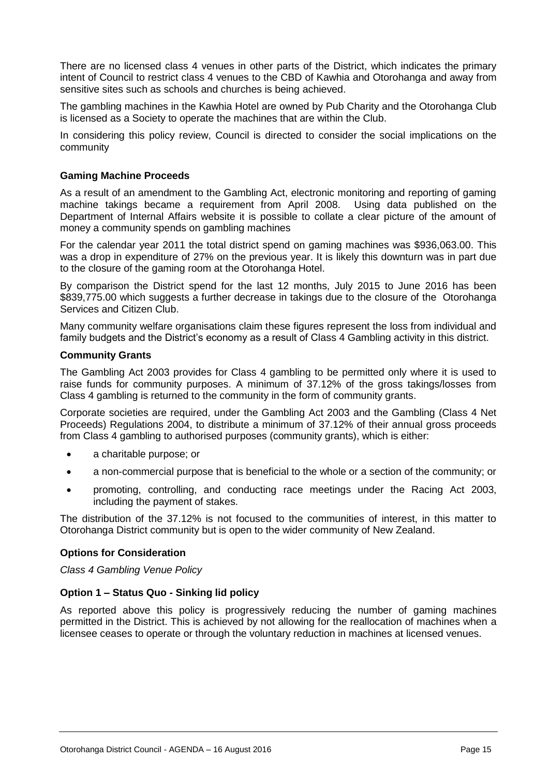There are no licensed class 4 venues in other parts of the District, which indicates the primary intent of Council to restrict class 4 venues to the CBD of Kawhia and Otorohanga and away from sensitive sites such as schools and churches is being achieved.

The gambling machines in the Kawhia Hotel are owned by Pub Charity and the Otorohanga Club is licensed as a Society to operate the machines that are within the Club.

In considering this policy review, Council is directed to consider the social implications on the community

#### **Gaming Machine Proceeds**

As a result of an amendment to the Gambling Act, electronic monitoring and reporting of gaming machine takings became a requirement from April 2008. Using data published on the Department of Internal Affairs website it is possible to collate a clear picture of the amount of money a community spends on gambling machines

For the calendar year 2011 the total district spend on gaming machines was \$936,063.00. This was a drop in expenditure of 27% on the previous year. It is likely this downturn was in part due to the closure of the gaming room at the Otorohanga Hotel.

By comparison the District spend for the last 12 months, July 2015 to June 2016 has been \$839,775.00 which suggests a further decrease in takings due to the closure of the Otorohanga Services and Citizen Club.

Many community welfare organisations claim these figures represent the loss from individual and family budgets and the District's economy as a result of Class 4 Gambling activity in this district.

#### **Community Grants**

The Gambling Act 2003 provides for Class 4 gambling to be permitted only where it is used to raise funds for community purposes. A minimum of 37.12% of the gross takings/losses from Class 4 gambling is returned to the community in the form of community grants.

Corporate societies are required, under the Gambling Act 2003 and the Gambling (Class 4 Net Proceeds) Regulations 2004, to distribute a minimum of 37.12% of their annual gross proceeds from Class 4 gambling to authorised purposes (community grants), which is either:

- a charitable purpose; or
- a non-commercial purpose that is beneficial to the whole or a section of the community; or
- promoting, controlling, and conducting race meetings under the Racing Act 2003, including the payment of stakes.

The distribution of the 37.12% is not focused to the communities of interest, in this matter to Otorohanga District community but is open to the wider community of New Zealand.

#### **Options for Consideration**

*Class 4 Gambling Venue Policy*

#### **Option 1 – Status Quo - Sinking lid policy**

As reported above this policy is progressively reducing the number of gaming machines permitted in the District. This is achieved by not allowing for the reallocation of machines when a licensee ceases to operate or through the voluntary reduction in machines at licensed venues.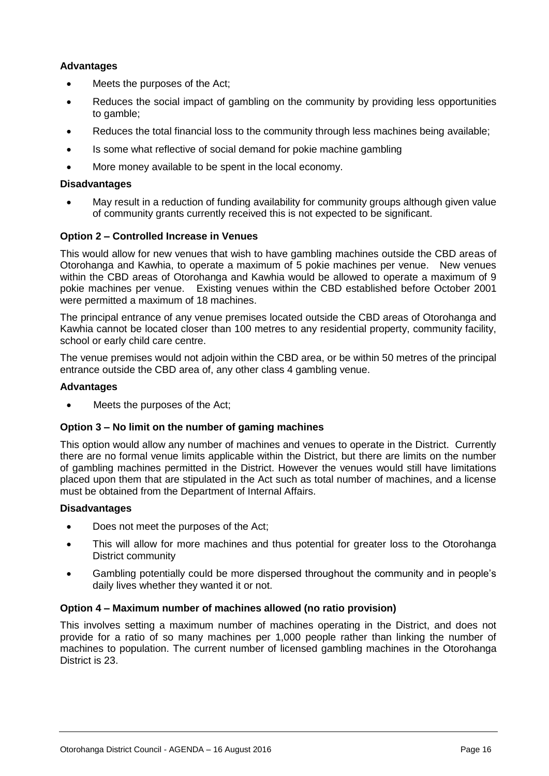#### **Advantages**

- Meets the purposes of the Act;
- Reduces the social impact of gambling on the community by providing less opportunities to gamble;
- Reduces the total financial loss to the community through less machines being available;
- Is some what reflective of social demand for pokie machine gambling
- More money available to be spent in the local economy.

#### **Disadvantages**

 May result in a reduction of funding availability for community groups although given value of community grants currently received this is not expected to be significant.

#### **Option 2 – Controlled Increase in Venues**

This would allow for new venues that wish to have gambling machines outside the CBD areas of Otorohanga and Kawhia, to operate a maximum of 5 pokie machines per venue. New venues within the CBD areas of Otorohanga and Kawhia would be allowed to operate a maximum of 9 pokie machines per venue. Existing venues within the CBD established before October 2001 were permitted a maximum of 18 machines.

The principal entrance of any venue premises located outside the CBD areas of Otorohanga and Kawhia cannot be located closer than 100 metres to any residential property, community facility, school or early child care centre.

The venue premises would not adjoin within the CBD area, or be within 50 metres of the principal entrance outside the CBD area of, any other class 4 gambling venue.

#### **Advantages**

Meets the purposes of the Act;

#### **Option 3 – No limit on the number of gaming machines**

This option would allow any number of machines and venues to operate in the District. Currently there are no formal venue limits applicable within the District, but there are limits on the number of gambling machines permitted in the District. However the venues would still have limitations placed upon them that are stipulated in the Act such as total number of machines, and a license must be obtained from the Department of Internal Affairs.

#### **Disadvantages**

- Does not meet the purposes of the Act;
- This will allow for more machines and thus potential for greater loss to the Otorohanga District community
- Gambling potentially could be more dispersed throughout the community and in people's daily lives whether they wanted it or not.

#### **Option 4 – Maximum number of machines allowed (no ratio provision)**

This involves setting a maximum number of machines operating in the District, and does not provide for a ratio of so many machines per 1,000 people rather than linking the number of machines to population. The current number of licensed gambling machines in the Otorohanga District is 23.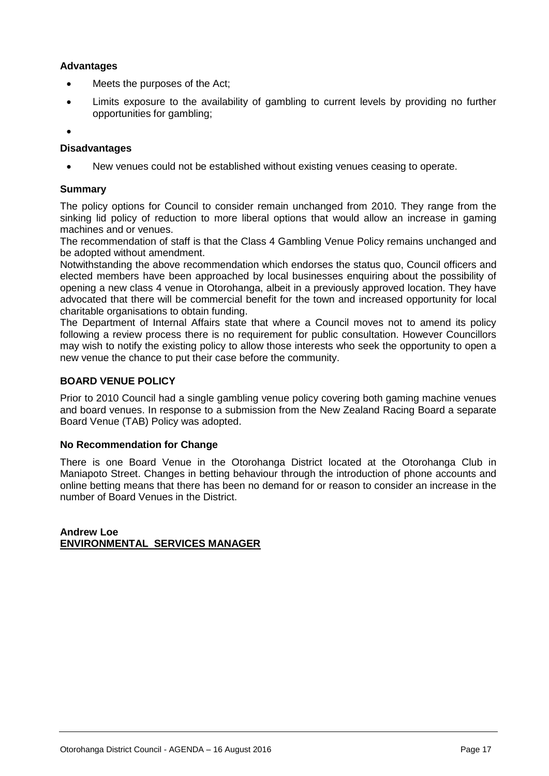#### **Advantages**

- Meets the purposes of the Act;
- Limits exposure to the availability of gambling to current levels by providing no further opportunities for gambling;

 $\bullet$ 

#### **Disadvantages**

New venues could not be established without existing venues ceasing to operate.

#### **Summary**

The policy options for Council to consider remain unchanged from 2010. They range from the sinking lid policy of reduction to more liberal options that would allow an increase in gaming machines and or venues.

The recommendation of staff is that the Class 4 Gambling Venue Policy remains unchanged and be adopted without amendment.

Notwithstanding the above recommendation which endorses the status quo, Council officers and elected members have been approached by local businesses enquiring about the possibility of opening a new class 4 venue in Otorohanga, albeit in a previously approved location. They have advocated that there will be commercial benefit for the town and increased opportunity for local charitable organisations to obtain funding.

The Department of Internal Affairs state that where a Council moves not to amend its policy following a review process there is no requirement for public consultation. However Councillors may wish to notify the existing policy to allow those interests who seek the opportunity to open a new venue the chance to put their case before the community.

#### **BOARD VENUE POLICY**

Prior to 2010 Council had a single gambling venue policy covering both gaming machine venues and board venues. In response to a submission from the New Zealand Racing Board a separate Board Venue (TAB) Policy was adopted.

#### **No Recommendation for Change**

There is one Board Venue in the Otorohanga District located at the Otorohanga Club in Maniapoto Street. Changes in betting behaviour through the introduction of phone accounts and online betting means that there has been no demand for or reason to consider an increase in the number of Board Venues in the District.

**Andrew Loe ENVIRONMENTAL SERVICES MANAGER**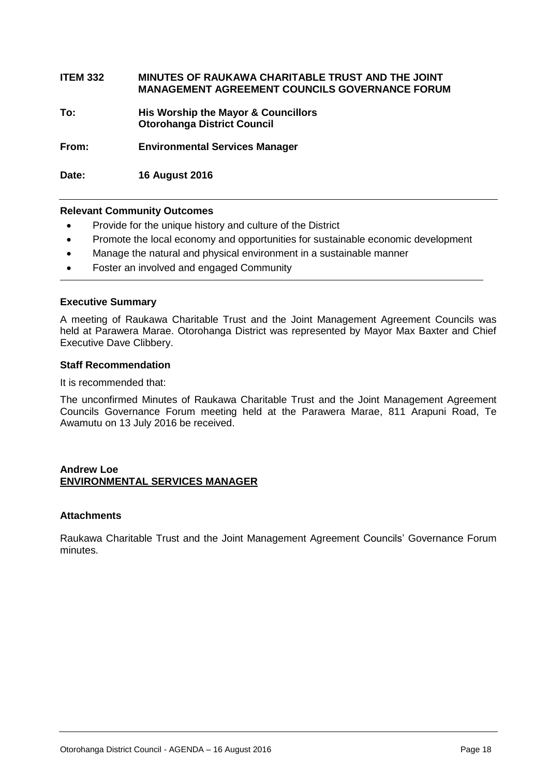#### **ITEM 332 MINUTES OF RAUKAWA CHARITABLE TRUST AND THE JOINT MANAGEMENT AGREEMENT COUNCILS GOVERNANCE FORUM**

**To: His Worship the Mayor & Councillors Otorohanga District Council**

**From: Environmental Services Manager**

**Date: 16 August 2016**

#### **Relevant Community Outcomes**

- Provide for the unique history and culture of the District
- Promote the local economy and opportunities for sustainable economic development
- Manage the natural and physical environment in a sustainable manner
- Foster an involved and engaged Community

#### **Executive Summary**

A meeting of Raukawa Charitable Trust and the Joint Management Agreement Councils was held at Parawera Marae. Otorohanga District was represented by Mayor Max Baxter and Chief Executive Dave Clibbery.

#### **Staff Recommendation**

It is recommended that:

The unconfirmed Minutes of Raukawa Charitable Trust and the Joint Management Agreement Councils Governance Forum meeting held at the Parawera Marae, 811 Arapuni Road, Te Awamutu on 13 July 2016 be received.

#### **Andrew Loe ENVIRONMENTAL SERVICES MANAGER**

#### **Attachments**

Raukawa Charitable Trust and the Joint Management Agreement Councils' Governance Forum minutes.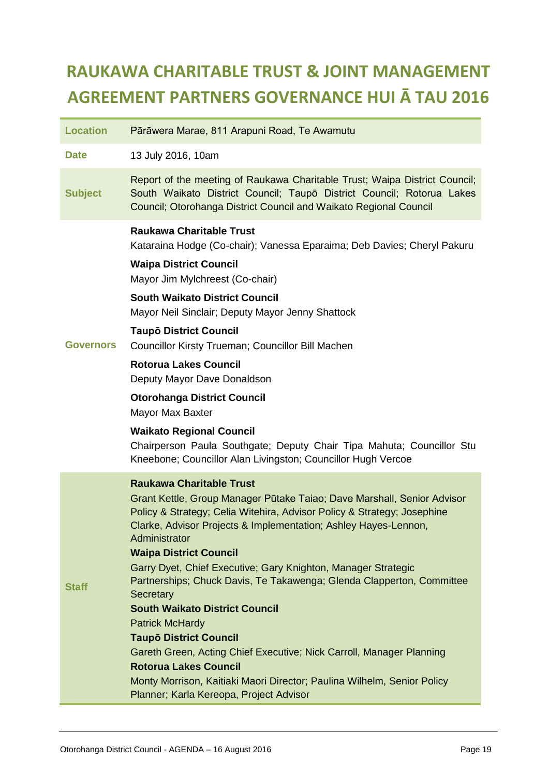# **RAUKAWA CHARITABLE TRUST & JOINT MANAGEMENT AGREEMENT PARTNERS GOVERNANCE HUI Ā TAU 2016**

| <b>Location</b>  | Pārāwera Marae, 811 Arapuni Road, Te Awamutu                                                                                                                                                                                                                                                                                                                                                                                                                                                                                                                                                                                                                                                                                                                                                        |
|------------------|-----------------------------------------------------------------------------------------------------------------------------------------------------------------------------------------------------------------------------------------------------------------------------------------------------------------------------------------------------------------------------------------------------------------------------------------------------------------------------------------------------------------------------------------------------------------------------------------------------------------------------------------------------------------------------------------------------------------------------------------------------------------------------------------------------|
| <b>Date</b>      | 13 July 2016, 10am                                                                                                                                                                                                                                                                                                                                                                                                                                                                                                                                                                                                                                                                                                                                                                                  |
| <b>Subject</b>   | Report of the meeting of Raukawa Charitable Trust; Waipa District Council;<br>South Waikato District Council; Taupō District Council; Rotorua Lakes<br>Council; Otorohanga District Council and Waikato Regional Council                                                                                                                                                                                                                                                                                                                                                                                                                                                                                                                                                                            |
| <b>Governors</b> | <b>Raukawa Charitable Trust</b><br>Kataraina Hodge (Co-chair); Vanessa Eparaima; Deb Davies; Cheryl Pakuru<br><b>Waipa District Council</b><br>Mayor Jim Mylchreest (Co-chair)<br><b>South Waikato District Council</b><br>Mayor Neil Sinclair; Deputy Mayor Jenny Shattock<br><b>Taupō District Council</b><br>Councillor Kirsty Trueman; Councillor Bill Machen<br><b>Rotorua Lakes Council</b><br>Deputy Mayor Dave Donaldson<br><b>Otorohanga District Council</b><br>Mayor Max Baxter<br><b>Waikato Regional Council</b><br>Chairperson Paula Southgate; Deputy Chair Tipa Mahuta; Councillor Stu                                                                                                                                                                                              |
|                  | Kneebone; Councillor Alan Livingston; Councillor Hugh Vercoe                                                                                                                                                                                                                                                                                                                                                                                                                                                                                                                                                                                                                                                                                                                                        |
| <b>Staff</b>     | <b>Raukawa Charitable Trust</b><br>Grant Kettle, Group Manager Pūtake Taiao; Dave Marshall, Senior Advisor<br>Policy & Strategy; Celia Witehira, Advisor Policy & Strategy; Josephine<br>Clarke, Advisor Projects & Implementation; Ashley Hayes-Lennon,<br>Administrator<br><b>Waipa District Council</b><br>Garry Dyet, Chief Executive; Gary Knighton, Manager Strategic<br>Partnerships; Chuck Davis, Te Takawenga; Glenda Clapperton, Committee<br>Secretary<br><b>South Waikato District Council</b><br><b>Patrick McHardy</b><br><b>Taupō District Council</b><br>Gareth Green, Acting Chief Executive; Nick Carroll, Manager Planning<br><b>Rotorua Lakes Council</b><br>Monty Morrison, Kaitiaki Maori Director; Paulina Wilhelm, Senior Policy<br>Planner; Karla Kereopa, Project Advisor |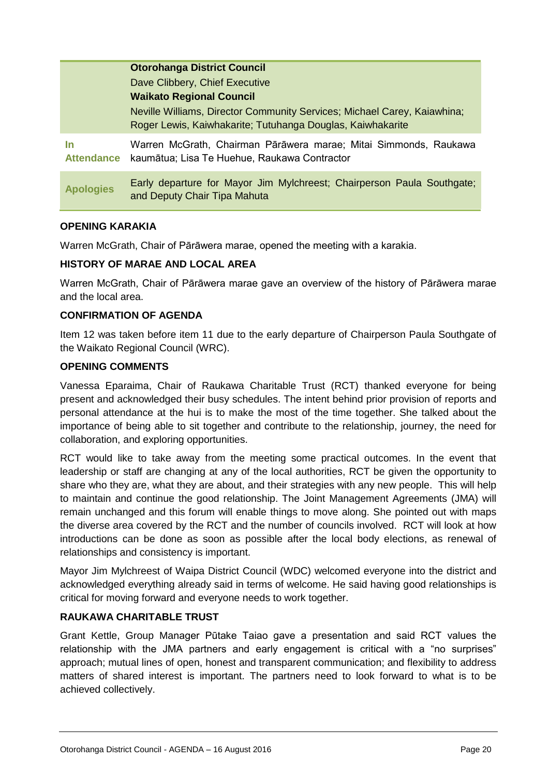|                                | <b>Otorohanga District Council</b>                                                                                                     |
|--------------------------------|----------------------------------------------------------------------------------------------------------------------------------------|
|                                | Dave Clibbery, Chief Executive                                                                                                         |
|                                | <b>Waikato Regional Council</b>                                                                                                        |
|                                | Neville Williams, Director Community Services; Michael Carey, Kaiawhina;<br>Roger Lewis, Kaiwhakarite; Tutuhanga Douglas, Kaiwhakarite |
| <u>In</u><br><b>Attendance</b> | Warren McGrath, Chairman Pārāwera marae; Mitai Simmonds, Raukawa<br>kaumātua; Lisa Te Huehue, Raukawa Contractor                       |
| <b>Apologies</b>               | Early departure for Mayor Jim Mylchreest; Chairperson Paula Southgate;<br>and Deputy Chair Tipa Mahuta                                 |

#### **OPENING KARAKIA**

Warren McGrath, Chair of Pārāwera marae, opened the meeting with a karakia.

#### **HISTORY OF MARAE AND LOCAL AREA**

Warren McGrath, Chair of Pārāwera marae gave an overview of the history of Pārāwera marae and the local area.

#### **CONFIRMATION OF AGENDA**

Item 12 was taken before item 11 due to the early departure of Chairperson Paula Southgate of the Waikato Regional Council (WRC).

#### **OPENING COMMENTS**

Vanessa Eparaima, Chair of Raukawa Charitable Trust (RCT) thanked everyone for being present and acknowledged their busy schedules. The intent behind prior provision of reports and personal attendance at the hui is to make the most of the time together. She talked about the importance of being able to sit together and contribute to the relationship, journey, the need for collaboration, and exploring opportunities.

RCT would like to take away from the meeting some practical outcomes. In the event that leadership or staff are changing at any of the local authorities, RCT be given the opportunity to share who they are, what they are about, and their strategies with any new people. This will help to maintain and continue the good relationship. The Joint Management Agreements (JMA) will remain unchanged and this forum will enable things to move along. She pointed out with maps the diverse area covered by the RCT and the number of councils involved. RCT will look at how introductions can be done as soon as possible after the local body elections, as renewal of relationships and consistency is important.

Mayor Jim Mylchreest of Waipa District Council (WDC) welcomed everyone into the district and acknowledged everything already said in terms of welcome. He said having good relationships is critical for moving forward and everyone needs to work together.

#### **RAUKAWA CHARITABLE TRUST**

Grant Kettle, Group Manager Pūtake Taiao gave a presentation and said RCT values the relationship with the JMA partners and early engagement is critical with a "no surprises" approach; mutual lines of open, honest and transparent communication; and flexibility to address matters of shared interest is important. The partners need to look forward to what is to be achieved collectively.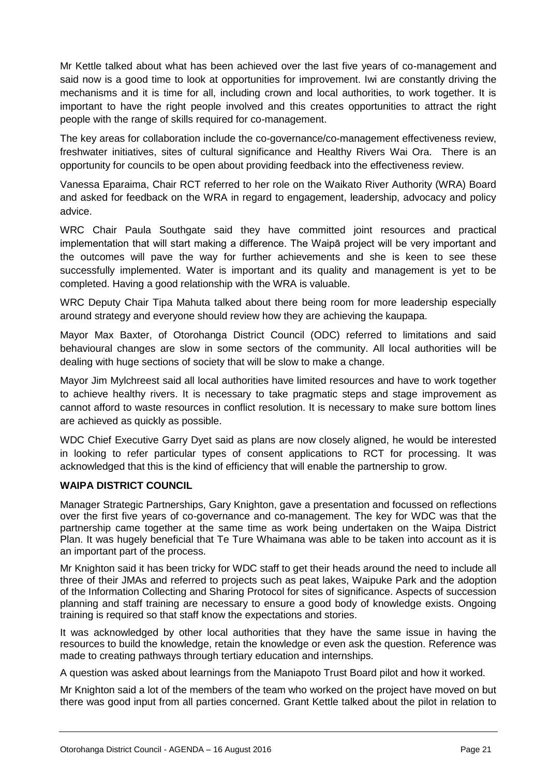Mr Kettle talked about what has been achieved over the last five years of co-management and said now is a good time to look at opportunities for improvement. Iwi are constantly driving the mechanisms and it is time for all, including crown and local authorities, to work together. It is important to have the right people involved and this creates opportunities to attract the right people with the range of skills required for co-management.

The key areas for collaboration include the co-governance/co-management effectiveness review, freshwater initiatives, sites of cultural significance and Healthy Rivers Wai Ora. There is an opportunity for councils to be open about providing feedback into the effectiveness review.

Vanessa Eparaima, Chair RCT referred to her role on the Waikato River Authority (WRA) Board and asked for feedback on the WRA in regard to engagement, leadership, advocacy and policy advice.

WRC Chair Paula Southgate said they have committed joint resources and practical implementation that will start making a difference. The Waipā project will be very important and the outcomes will pave the way for further achievements and she is keen to see these successfully implemented. Water is important and its quality and management is yet to be completed. Having a good relationship with the WRA is valuable.

WRC Deputy Chair Tipa Mahuta talked about there being room for more leadership especially around strategy and everyone should review how they are achieving the kaupapa.

Mayor Max Baxter, of Otorohanga District Council (ODC) referred to limitations and said behavioural changes are slow in some sectors of the community. All local authorities will be dealing with huge sections of society that will be slow to make a change.

Mayor Jim Mylchreest said all local authorities have limited resources and have to work together to achieve healthy rivers. It is necessary to take pragmatic steps and stage improvement as cannot afford to waste resources in conflict resolution. It is necessary to make sure bottom lines are achieved as quickly as possible.

WDC Chief Executive Garry Dyet said as plans are now closely aligned, he would be interested in looking to refer particular types of consent applications to RCT for processing. It was acknowledged that this is the kind of efficiency that will enable the partnership to grow.

#### **WAIPA DISTRICT COUNCIL**

Manager Strategic Partnerships, Gary Knighton, gave a presentation and focussed on reflections over the first five years of co-governance and co-management. The key for WDC was that the partnership came together at the same time as work being undertaken on the Waipa District Plan. It was hugely beneficial that Te Ture Whaimana was able to be taken into account as it is an important part of the process.

Mr Knighton said it has been tricky for WDC staff to get their heads around the need to include all three of their JMAs and referred to projects such as peat lakes, Waipuke Park and the adoption of the Information Collecting and Sharing Protocol for sites of significance. Aspects of succession planning and staff training are necessary to ensure a good body of knowledge exists. Ongoing training is required so that staff know the expectations and stories.

It was acknowledged by other local authorities that they have the same issue in having the resources to build the knowledge, retain the knowledge or even ask the question. Reference was made to creating pathways through tertiary education and internships.

A question was asked about learnings from the Maniapoto Trust Board pilot and how it worked.

Mr Knighton said a lot of the members of the team who worked on the project have moved on but there was good input from all parties concerned. Grant Kettle talked about the pilot in relation to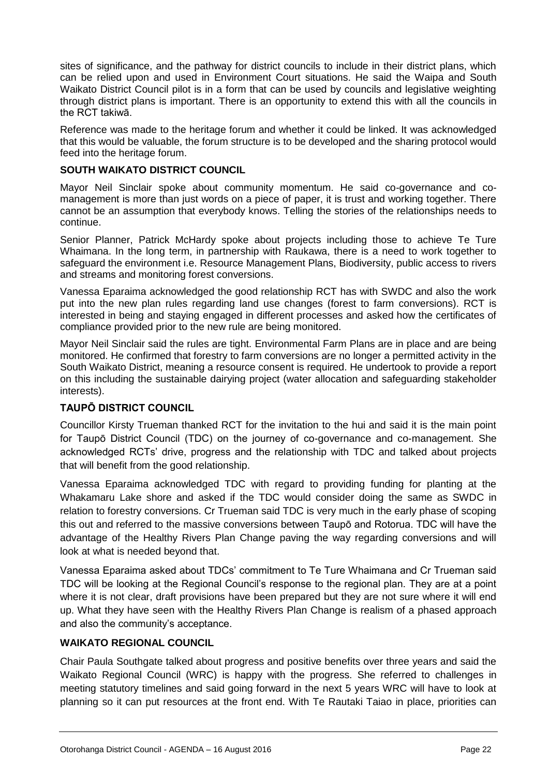sites of significance, and the pathway for district councils to include in their district plans, which can be relied upon and used in Environment Court situations. He said the Waipa and South Waikato District Council pilot is in a form that can be used by councils and legislative weighting through district plans is important. There is an opportunity to extend this with all the councils in the RCT takiwā.

Reference was made to the heritage forum and whether it could be linked. It was acknowledged that this would be valuable, the forum structure is to be developed and the sharing protocol would feed into the heritage forum.

#### **SOUTH WAIKATO DISTRICT COUNCIL**

Mayor Neil Sinclair spoke about community momentum. He said co-governance and comanagement is more than just words on a piece of paper, it is trust and working together. There cannot be an assumption that everybody knows. Telling the stories of the relationships needs to continue.

Senior Planner, Patrick McHardy spoke about projects including those to achieve Te Ture Whaimana. In the long term, in partnership with Raukawa, there is a need to work together to safeguard the environment i.e. Resource Management Plans, Biodiversity, public access to rivers and streams and monitoring forest conversions.

Vanessa Eparaima acknowledged the good relationship RCT has with SWDC and also the work put into the new plan rules regarding land use changes (forest to farm conversions). RCT is interested in being and staying engaged in different processes and asked how the certificates of compliance provided prior to the new rule are being monitored.

Mayor Neil Sinclair said the rules are tight. Environmental Farm Plans are in place and are being monitored. He confirmed that forestry to farm conversions are no longer a permitted activity in the South Waikato District, meaning a resource consent is required. He undertook to provide a report on this including the sustainable dairying project (water allocation and safeguarding stakeholder interests).

#### **TAUPŌ DISTRICT COUNCIL**

Councillor Kirsty Trueman thanked RCT for the invitation to the hui and said it is the main point for Taupō District Council (TDC) on the journey of co-governance and co-management. She acknowledged RCTs' drive, progress and the relationship with TDC and talked about projects that will benefit from the good relationship.

Vanessa Eparaima acknowledged TDC with regard to providing funding for planting at the Whakamaru Lake shore and asked if the TDC would consider doing the same as SWDC in relation to forestry conversions. Cr Trueman said TDC is very much in the early phase of scoping this out and referred to the massive conversions between Taupō and Rotorua. TDC will have the advantage of the Healthy Rivers Plan Change paving the way regarding conversions and will look at what is needed beyond that.

Vanessa Eparaima asked about TDCs' commitment to Te Ture Whaimana and Cr Trueman said TDC will be looking at the Regional Council's response to the regional plan. They are at a point where it is not clear, draft provisions have been prepared but they are not sure where it will end up. What they have seen with the Healthy Rivers Plan Change is realism of a phased approach and also the community's acceptance.

#### **WAIKATO REGIONAL COUNCIL**

Chair Paula Southgate talked about progress and positive benefits over three years and said the Waikato Regional Council (WRC) is happy with the progress. She referred to challenges in meeting statutory timelines and said going forward in the next 5 years WRC will have to look at planning so it can put resources at the front end. With Te Rautaki Taiao in place, priorities can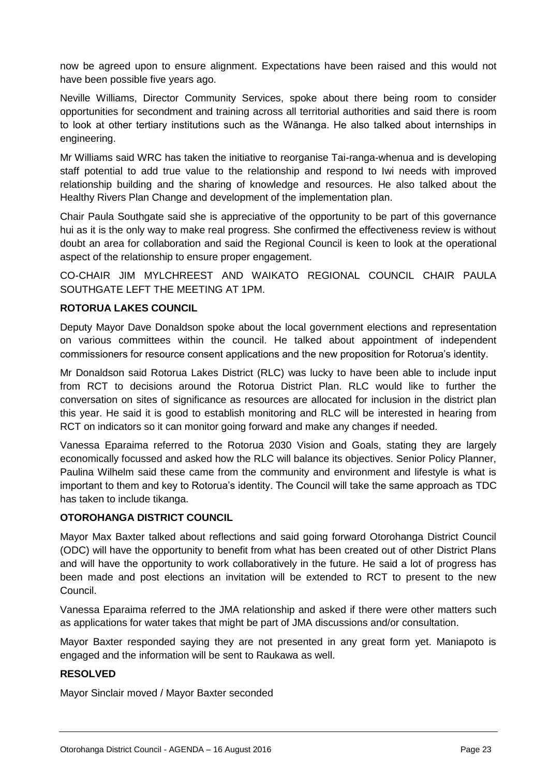now be agreed upon to ensure alignment. Expectations have been raised and this would not have been possible five years ago.

Neville Williams, Director Community Services, spoke about there being room to consider opportunities for secondment and training across all territorial authorities and said there is room to look at other tertiary institutions such as the Wānanga. He also talked about internships in engineering.

Mr Williams said WRC has taken the initiative to reorganise Tai-ranga-whenua and is developing staff potential to add true value to the relationship and respond to Iwi needs with improved relationship building and the sharing of knowledge and resources. He also talked about the Healthy Rivers Plan Change and development of the implementation plan.

Chair Paula Southgate said she is appreciative of the opportunity to be part of this governance hui as it is the only way to make real progress. She confirmed the effectiveness review is without doubt an area for collaboration and said the Regional Council is keen to look at the operational aspect of the relationship to ensure proper engagement.

CO-CHAIR JIM MYLCHREEST AND WAIKATO REGIONAL COUNCIL CHAIR PAULA SOUTHGATE LEFT THE MEETING AT 1PM.

#### **ROTORUA LAKES COUNCIL**

Deputy Mayor Dave Donaldson spoke about the local government elections and representation on various committees within the council. He talked about appointment of independent commissioners for resource consent applications and the new proposition for Rotorua's identity.

Mr Donaldson said Rotorua Lakes District (RLC) was lucky to have been able to include input from RCT to decisions around the Rotorua District Plan. RLC would like to further the conversation on sites of significance as resources are allocated for inclusion in the district plan this year. He said it is good to establish monitoring and RLC will be interested in hearing from RCT on indicators so it can monitor going forward and make any changes if needed.

Vanessa Eparaima referred to the Rotorua 2030 Vision and Goals, stating they are largely economically focussed and asked how the RLC will balance its objectives. Senior Policy Planner, Paulina Wilhelm said these came from the community and environment and lifestyle is what is important to them and key to Rotorua's identity. The Council will take the same approach as TDC has taken to include tikanga.

#### **OTOROHANGA DISTRICT COUNCIL**

Mayor Max Baxter talked about reflections and said going forward Otorohanga District Council (ODC) will have the opportunity to benefit from what has been created out of other District Plans and will have the opportunity to work collaboratively in the future. He said a lot of progress has been made and post elections an invitation will be extended to RCT to present to the new Council.

Vanessa Eparaima referred to the JMA relationship and asked if there were other matters such as applications for water takes that might be part of JMA discussions and/or consultation.

Mayor Baxter responded saying they are not presented in any great form yet. Maniapoto is engaged and the information will be sent to Raukawa as well.

#### **RESOLVED**

Mayor Sinclair moved / Mayor Baxter seconded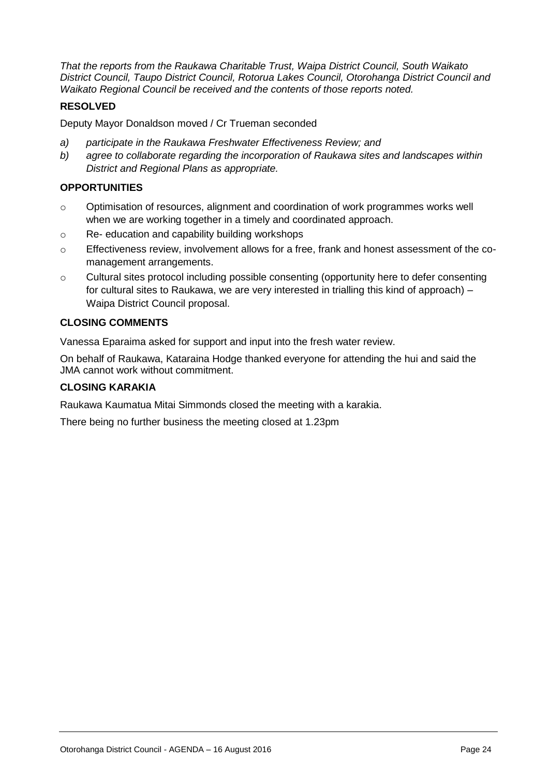*That the reports from the Raukawa Charitable Trust, Waipa District Council, South Waikato District Council, Taupo District Council, Rotorua Lakes Council, Otorohanga District Council and Waikato Regional Council be received and the contents of those reports noted.* 

#### **RESOLVED**

Deputy Mayor Donaldson moved / Cr Trueman seconded

- *a) participate in the Raukawa Freshwater Effectiveness Review; and*
- *b) agree to collaborate regarding the incorporation of Raukawa sites and landscapes within District and Regional Plans as appropriate.*

#### **OPPORTUNITIES**

- o Optimisation of resources, alignment and coordination of work programmes works well when we are working together in a timely and coordinated approach.
- o Re- education and capability building workshops
- o Effectiveness review, involvement allows for a free, frank and honest assessment of the comanagement arrangements.
- o Cultural sites protocol including possible consenting (opportunity here to defer consenting for cultural sites to Raukawa, we are very interested in trialling this kind of approach) – Waipa District Council proposal.

#### **CLOSING COMMENTS**

Vanessa Eparaima asked for support and input into the fresh water review.

On behalf of Raukawa, Kataraina Hodge thanked everyone for attending the hui and said the JMA cannot work without commitment.

#### **CLOSING KARAKIA**

Raukawa Kaumatua Mitai Simmonds closed the meeting with a karakia.

There being no further business the meeting closed at 1.23pm